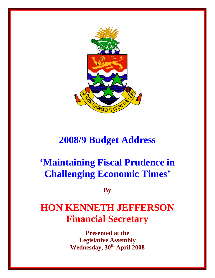

## **2008/9 Budget Address**

# **'Maintaining Fiscal Prudence in Challenging Economic Times'**

**By** 

## **HON KENNETH JEFFERSON Financial Secretary**

**Presented at the Legislative Assembly Wednesday, 30th April 2008**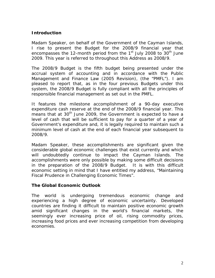## **Introduction**

Madam Speaker, on behalf of the Government of the Cayman Islands, I rise to present the Budget for the 2008/9 financial year that encompasses the 12-month period from the  $1<sup>st</sup>$  July 2008 to  $30<sup>th</sup>$  June 2009. This year is referred to throughout this Address as 2008/9.

The 2008/9 Budget is the fifth budget being presented under the accrual system of accounting and in accordance with the Public Management and Finance Law (2005 Revision), (the "PMFL"). I am pleased to report that, as in the four previous Budgets under this system, the 2008/9 Budget is fully compliant with all the principles of responsible financial management as set out in the PMFL.

It features the milestone accomplishment of a 90-day executive expenditure cash reserve at the end of the 2008/9 financial year. This means that at 30<sup>th</sup> June 2009, the Government is expected to have a level of cash that will be sufficient to pay for a quarter of a year of Government's expenditure and, it is legally required to maintain such a minimum level of cash at the end of each financial year subsequent to 2008/9.

Madam Speaker, these accomplishments are significant given the considerable global economic challenges that exist currently and which will undoubtedly continue to impact the Cayman Islands. The accomplishments were only possible by making some difficult decisions in the preparation of the 2008/9 Budget. It is with this difficult economic setting in mind that I have entitled my address, "Maintaining Fiscal Prudence in Challenging Economic Times".

#### **The Global Economic Outlook**

The world is undergoing tremendous economic change and experiencing a high degree of economic uncertainty. Developed countries are finding it difficult to maintain positive economic growth amid significant changes in the world's financial markets, the seemingly ever increasing price of oil, rising commodity prices, increasing food prices and ever increasing competition from developing economies.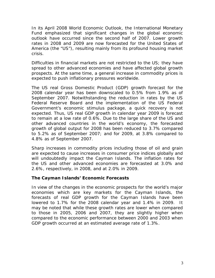In its April 2008 World Economic Outlook, the International Monetary Fund emphasized that significant changes in the global economic outlook have occurred since the second half of 2007. Lower growth rates in 2008 and 2009 are now forecasted for the United States of America (the "US"), resulting mainly from its profound housing market crisis.

Difficulties in financial markets are not restricted to the US; they have spread to other advanced economies and have affected global growth prospects. At the same time, a general increase in commodity prices is expected to push inflationary pressures worldwide.

The US real Gross Domestic Product (GDP) growth forecast for the 2008 calendar year has been downscaled to 0.5% from 1.9% as of September 2007. Notwithstanding the reduction in rates by the US Federal Reserve Board and the implementation of the US Federal Government's economic stimulus package, a quick recovery is not expected. Thus, US real GDP growth in calendar year 2009 is forecast to remain at a low rate of 0.6%. Due to the large share of the US and other advanced countries in the world's economy, the forecasted growth of global output for 2008 has been reduced to 3.7% compared to 5.2% as of September 2007; and for 2009, at 3.8% compared to 4.8% as of September 2007.

Sharp increases in commodity prices including those of oil and grain are expected to cause increases in consumer price indices globally and will undoubtedly impact the Cayman Islands. The inflation rates for the US and other advanced economies are forecasted at 3.0% and 2.6%, respectively, in 2008, and at 2.0% in 2009.

#### **The Cayman Islands' Economic Forecasts**

In view of the changes in the economic prospects for the world's major economies which are key markets for the Cayman Islands, the forecasts of real GDP growth for the Cayman Islands have been lowered to 1.7% for the 2008 calendar year and 1.4% in 2009. It may be noted that while these growth rates are lower when compared to those in 2005, 2006 and 2007, they are slightly higher when compared to the economic performance between 2000 and 2003 when GDP growth occurred at an estimated average rate of 1.3%.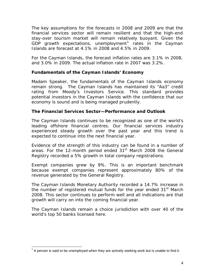The key assumptions for the forecasts in 2008 and 2009 are that the financial services sector will remain resilient and that the high-end stay-over tourism market will remain relatively buoyant. Given the GDP growth expectations, unemployment<sup>[1](#page-3-0)</sup> rates in the Cayman Islands are forecast at 4.1% in 2008 and 4.5% in 2009.

For the Cayman Islands, the forecast inflation rates are 3.1% in 2008, and 3.0% in 2009. The actual inflation rate in 2007 was 3.2%.

## **Fundamentals of the Cayman Islands' Economy**

Madam Speaker, the fundamentals of the Cayman Islands economy remain strong. The Cayman Islands has maintained its "Aa3" credit rating from Moody's Investors Service. This standard provides potential investors in the Cayman Islands with the confidence that our economy is sound and is being managed prudently.

## **The Financial Services Sector—Performance and Outlook**

The Cayman Islands continues to be recognized as one of the world's leading offshore financial centres. Our financial services industry experienced steady growth over the past year and this trend is expected to continue into the next financial year.

Evidence of the strength of this industry can be found in a number of areas. For the 12-month period ended 31<sup>st</sup> March 2008 the General Registry recorded a 5% growth in total company registrations.

Exempt companies grew by 9%. This is an important benchmark because exempt companies represent approximately 80% of the revenue generated by the General Registry.

The Cayman Islands Monetary Authority recorded a 14.7% increase in the number of registered mutual funds for the year ended 31<sup>st</sup> March 2008. This sector continues to perform well and all indications are that growth will carry on into the coming financial year.

The Cayman Islands remain a choice jurisdiction with over 40 of the world's top 50 banks licensed here.

<u>.</u>

<span id="page-3-0"></span> $1$  A person is said to be unemployed when they are actively seeking work but is unable to find it.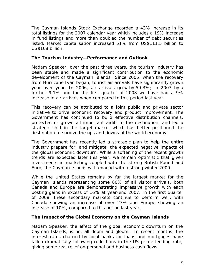The Cayman Islands Stock Exchange recorded a 43% increase in its total listings for the 2007 calendar year which includes a 19% increase in fund listings and more than doubled the number of debt securities listed. Market capitalisation increased 51% from US\$111.5 billion to US\$168 billion.

#### **The Tourism Industry—Performance and Outlook**

Madam Speaker, over the past three years, the tourism industry has been stable and made a significant contribution to the economic development of the Cayman Islands. Since 2005, when the recovery from Hurricane Ivan began, tourist air arrivals have significantly grown year over year. In 2006, air arrivals grew by 59.3%; in 2007 by a further 9.1% and for the first quarter of 2008 we have had a 9% increase in air arrivals when compared to this period last year.

This recovery can be attributed to a joint public and private sector initiative to drive economic recovery and product improvement. The Government has continued to build effective distribution channels, protected or grown all important airlift to the destination, and led a strategic shift in the target market which has better positioned the destination to survive the ups and downs of the world economy.

The Government has recently led a strategic plan to help the entire industry prepare for, and mitigate, the expected negative impacts of the global economic downturn. While a softening of the recent growth trends are expected later this year, we remain optimistic that given investments in marketing coupled with the strong British Pound and Euro, the Cayman Islands will rebound with a strong winter 2009.

While the United States remains by far the largest market for the Cayman Islands representing some 80% of all visitor arrivals, both Canada and Europe are demonstrating impressive growth with each posting gains in excess of 16% at year-end 2007. In the first quarter of 2008, these secondary markets continue to perform well, with Canada showing an increase of over 23% and Europe showing an increase of 10%, compared to this period last year.

#### **The Impact of the Global Economy on the Cayman Islands**

Madam Speaker, the effect of the global economic downturn on the Cayman Islands, is not all doom and gloom. In recent months, the interest rates charged by local banks for loans and mortgages have fallen dramatically following reductions in the US prime lending rate, giving some real relief on personal and business cash flows.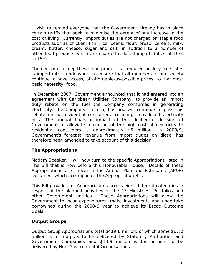I wish to remind everyone that the Government already has in place certain tariffs that seek to minimise the extent of any increase in the cost of living. Currently, import duties are not charged on staple food products such as chicken, fish, rice, beans, flour, bread, cereals, milk, cream, butter, cheese, sugar and salt—in addition to a number of other food products which are charged reduced import duties of 10% to 15%.

The decision to keep these food products at reduced or duty-free rates is important: it endeavours to ensure that all members of our society continue to have access, at affordable-as-possible prices, to that most basic necessity, food.

In December 2007, Government announced that it had entered into an agreement with Caribbean Utilities Company, to provide an import duty rebate on the fuel the Company consumes in generating electricity: the Company, in turn, has and will continue to pass this rebate on to residential consumers—resulting in reduced electricity bills. The annual financial impact of this deliberate decision of Government to alleviate a portion of the high cost of electricity to residential consumers is approximately \$6 million. In 2008/9, Government's forecast revenue from import duties on diesel has therefore been amended to take account of this decision.

## **The Appropriations**

Madam Speaker, I will now turn to the specific Appropriations listed in The Bill that is now before this Honourable House. Details of these Appropriations are shown in the Annual Plan and Estimates (AP&E) Document which accompanies the Appropriation Bill.

This Bill provides for Appropriations across eight different categories in respect of the planned activities of the 13 Ministries, Portfolios and other Government entities. These Appropriations will allow the Government to incur expenditures, make investments and undertake borrowings during the 2008/9 year to achieve its Broad Outcome Goals.

#### **Output Groups**

Output Group Appropriations total \$419.6 million, of which some \$87.2 million is for outputs to be delivered by Statutory Authorities and Government Companies and \$13.9 million is for outputs to be delivered by Non-Governmental Organisations.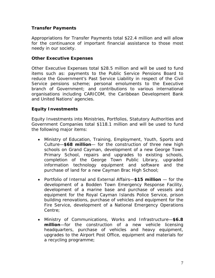## **Transfer Payments**

Appropriations for Transfer Payments total \$22.4 million and will allow for the continuance of important financial assistance to those most needy in our society.

#### **Other Executive Expenses**

Other Executive Expenses total \$28.5 million and will be used to fund items such as: payments to the Public Service Pensions Board to reduce the Government's Past Service Liability in respect of the Civil Service pensions scheme; personal emoluments to the Executive branch of Government; and contributions to various international organisations including CARICOM, the Caribbean Development Bank and United Nations' agencies.

#### **Equity Investments**

Equity Investments into Ministries, Portfolios, Statutory Authorities and Government Companies total \$118.1 million and will be used to fund the following major items:

- Ministry of Education, Training, Employment, Youth, Sports and Culture—**\$68 million**— for the construction of three new high schools on Grand Cayman, development of a new George Town Primary School, repairs and upgrades to existing schools, completion of the George Town Public Library, upgraded information technology equipment and software and the purchase of land for a new Cayman Brac High School;
- Portfolio of Internal and External Affairs—**\$15 million** for the development of a Bodden Town Emergency Response Facility, development of a marine base and purchase of vessels and equipment for the Royal Cayman Islands Police Service, prison building renovations, purchase of vehicles and equipment for the Fire Service, development of a National Emergency Operations Centre;
- Ministry of Communications, Works and Infrastructure—**\$6.8 million**—for the construction of a new vehicle licensing headquarters, purchase of vehicles and heavy equipment, upgrades to the Airport Post Office, equipment and materials for a recycling programme;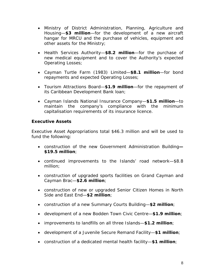- Ministry of District Administration, Planning, Agriculture and Housing—**\$3 million**—for the development of a new aircraft hangar for MRCU and the purchase of vehicles, equipment and other assets for the Ministry;
- Health Services Authority—**\$8.2 million**—for the purchase of new medical equipment and to cover the Authority's expected Operating Losses;
- Cayman Turtle Farm (1983) Limited—**\$8.1 million**—for bond repayments and expected Operating Losses;
- Tourism Attractions Board—**\$1.9 million**—for the repayment of its Caribbean Development Bank loan;
- Cayman Islands National Insurance Company—**\$1.5 million**—to maintain the company's compliance with the minimum capitalisation requirements of its insurance licence.

## **Executive Assets**

Executive Asset Appropriations total \$46.3 million and will be used to fund the following:

- construction of the new Government Administration Building**— \$19.5 million**;
- continued improvements to the Islands' road network—\$8.8 million;
- construction of upgraded sports facilities on Grand Cayman and Cayman Brac—**\$2.6 million**;
- construction of new or upgraded Senior Citizen Homes in North Side and East End—**\$2 million**;
- construction of a new Summary Courts Building—**\$2 million**;
- development of a new Bodden Town Civic Centre—**\$1.9 million**;
- improvements to landfills on all three Islands—**\$1.2 million**;
- development of a Juvenile Secure Remand Facility—**\$1 million**;
- construction of a dedicated mental health facility—**\$1 million**;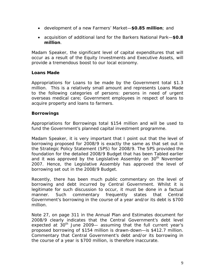- development of a new Farmers' Market—**\$0.85 million**; and
- acquisition of additional land for the Barkers National Park—**\$0.8 million**.

Madam Speaker, the significant level of capital expenditures that will occur as a result of the Equity Investments and Executive Assets, will provide a tremendous boost to our local economy.

## **Loans Made**

Appropriations for Loans to be made by the Government total \$1.3 million. This is a relatively small amount and represents Loans Made to the following categories of persons: persons in need of urgent overseas medical care; Government employees in respect of loans to acquire property and loans to farmers.

## **Borrowings**

Appropriations for Borrowings total \$154 million and will be used to fund the Government's planned capital investment programme.

Madam Speaker, it is very important that I point out that the level of borrowing proposed for 2008/9 is exactly the same as that set out in the Strategic Policy Statement (SPS) for 2008/9. The SPS provided the foundation for the detailed 2008/9 Budget that has been Tabled earlier and it was approved by the Legislative Assembly on  $30<sup>th</sup>$  November 2007. Hence, the Legislative Assembly has approved the level of borrowing set out in the 2008/9 Budget.

Recently, there has been much public commentary on the level of borrowing and debt incurred by Central Government. Whilst it is legitimate for such discussion to occur, it must be done in a factual manner. Such commentary frequently states that Central Government's borrowing in the course of a year and/or its debt is \$700 million.

Note 27, on page 311 in the Annual Plan and Estimates document for 2008/9 clearly indicates that the Central Government's debt level expected at  $30<sup>th</sup>$  June 2009— assuming that the full current year's proposed borrowing of \$154 million is drawn-down—is \$412.7 million. Commentary that Central Government's debt and/or its borrowing in the course of a year is \$700 million, is therefore inaccurate.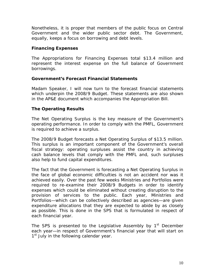Nonetheless, it is proper that members of the public focus on Central Government and the wider public sector debt. The Government, equally, keeps a focus on borrowing and debt levels.

## **Financing Expenses**

The Appropriations for Financing Expenses total \$13.4 million and represent the interest expense on the full balance of Government borrowings.

## **Government's Forecast Financial Statements**

Madam Speaker, I will now turn to the forecast financial statements which underpin the 2008/9 Budget. These statements are also shown in the AP&E document which accompanies the Appropriation Bill.

## **The Operating Results**

The Net Operating Surplus is the key measure of the Government's operating performance. In order to comply with the PMFL, Government is required to achieve a surplus.

The 2008/9 Budget forecasts a Net Operating Surplus of \$13.5 million. This surplus is an important component of the Government's overall fiscal strategy: operating surpluses assist the country in achieving cash balance levels that comply with the PMFL and, such surpluses also help to fund capital expenditures.

The fact that the Government is forecasting a Net Operating Surplus in the face of global economic difficulties is not an accident nor was it achieved easily. Over the past few weeks Ministries and Portfolios were required to re-examine their 2008/9 Budgets in order to identify expenses which could be eliminated without creating disruption to the provision of services to the public. Each year, Ministries and Portfolios—which can be collectively described as agencies—are given expenditure allocations that they are expected to abide by as closely as possible. This is done in the SPS that is formulated in respect of each financial year.

The SPS is presented to the Legislative Assembly by  $1<sup>st</sup>$  December each year—in respect of Government's financial year that will start on 1<sup>st</sup> July in the following calendar year.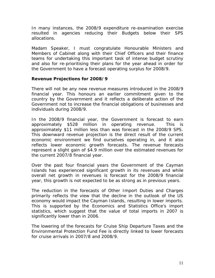In many instances, the 2008/9 expenditure re-examination exercise resulted in agencies reducing their Budgets below their SPS allocations.

Madam Speaker, I must congratulate Honourable Ministers and Members of Cabinet along with their Chief Officers and their finance teams for undertaking this important task of intense budget scrutiny and also for re-prioritising their plans for the year ahead in order for the Government to have a forecast operating surplus for 2008/9.

#### **Revenue Projections for 2008/9**

There will not be any new revenue measures introduced in the 2008/9 financial year. This honours an earlier commitment given to the country by the Government and it reflects a deliberate action of the Government not to increase the financial obligations of businesses and individuals during 2008/9.

In the 2008/9 financial year, the Government is forecast to earn approximately \$528 million in operating revenue. This is approximately \$11 million less than was forecast in the 2008/9 SPS. This downward revenue projection is the direct result of the current economic environment we find ourselves operating in, and it also reflects lower economic growth forecasts. The revenue forecasts represent a slight gain of \$4.9 million over the estimated revenues for the current 2007/8 financial year.

Over the past four financial years the Government of the Cayman Islands has experienced significant growth in its revenues and while overall net growth in revenues is forecast for the 2008/9 financial year, this growth is not expected to be as strong as in previous years.

The reduction in the forecasts of Other Import Duties and Charges primarily reflects the view that the decline in the outlook of the US economy would impact the Cayman Islands, resulting in lower imports. This is supported by the Economics and Statistics Office's import statistics, which suggest that the value of total imports in 2007 is significantly lower than in 2006.

The lowering of the forecasts for Cruise Ship Departure Taxes and the Environmental Protection Fund Fee is directly linked to lower forecasts for cruise arrivals in 2007/8 and 2008/9.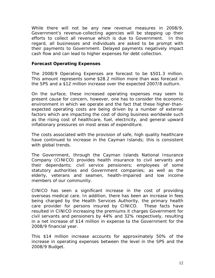While there will not be any new revenue measures in 2008/9, Government's revenue-collecting agencies will be stepping up their efforts to collect all revenue which is due to Government. In this regard, all businesses and individuals are asked to be prompt with their payments to Government. Delayed payments negatively impact cash flow and can lead to higher expenses for debt collection.

#### **Forecast Operating Expenses**

The 2008/9 Operating Expenses are forecast to be \$501.3 million. This amount represents some \$28.2 million more than was forecast in the SPS and a \$12 million increase over the expected 2007/8 outturn.

On the surface, these increased operating expenses may seem to present cause for concern, however, one has to consider the economic environment in which we operate and the fact that these higher-thanexpected operating costs are being driven by a number of external factors which are impacting the cost of doing business worldwide such as the rising cost of healthcare, fuel, electricity, and general upward inflationary pressures on most areas of expenditure.

The costs associated with the provision of safe, high quality healthcare have continued to increase in the Cayman Islands; this is consistent with global trends.

The Government, through the Cayman Islands National Insurance Company (CINICO) provides health insurance to civil servants and their dependants; civil service pensioners; employees of some statutory authorities and Government companies; as well as the elderly, veterans and seamen, health-impaired and low income members of our community.

CINICO has seen a significant increase in the cost of providing overseas medical care. In addition, there has been an increase in fees being charged by the Health Services Authority, the primary health care provider for persons insured by CINICO. These facts have resulted in CINICO increasing the premiums it charges Government for civil servants and pensioners by 44% and 32% respectively, resulting in a net increase of \$14 million in expense to the Government for the 2008/9 financial year.

This \$14 million increase accounts for approximately 50% of the increase in operating expenses between the level in the SPS and the 2008/9 Budget.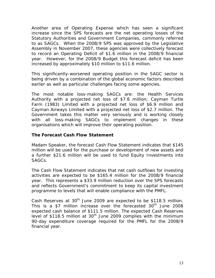Another area of Operating Expense which has seen a significant increase since the SPS forecasts are the net operating losses of the Statutory Authorities and Government Companies, commonly referred to as SAGCs. When the 2008/9 SPS was approved by the Legislative Assembly in November 2007, these agencies were collectively forecast to record an Operating Deficit of \$1.6 million in the 2008/9 financial year. However, for the 2008/9 Budget this forecast deficit has been increased by approximately \$10 million to \$11.6 million.

This significantly-worsened operating position in the SAGC sector is being driven by a combination of the global economic factors described earlier as well as particular challenges facing some agencies.

The most notable loss-making SAGCs are: the Health Services Authority with a projected net loss of \$7.6 million; Cayman Turtle Farm (1983) Limited with a projected net loss of \$6.9 million and Cayman Airways Limited with a projected net loss of \$2.7 million. The Government takes this matter very seriously and is working closely with all loss-making SAGCs to implement changes in these organisations which will improve their operating position.

#### **The Forecast Cash Flow Statement**

Madam Speaker, the forecast Cash Flow Statement indicates that \$145 million will be used for the purchase or development of new assets and a further \$21.6 million will be used to fund Equity Investments into SAGCs.

The Cash Flow Statement indicates that net cash outflows for investing activities are expected to be \$165.4 million for the 2008/9 financial year. This represents a \$33.9 million reduction over the SPS forecasts and reflects Government's commitment to keep its capital investment programme to levels that will enable compliance with the PMFL.

Cash Reserves at  $30<sup>th</sup>$  June 2009 are expected to be \$118.5 million. This is a \$7 million increase over the forecasted  $30<sup>th</sup>$  June 2008 expected cash balance of \$111.5 million. The expected Cash Reserves level of \$118.5 million at  $30<sup>th</sup>$  June 2009 complies with the minimum 90-day expenditure coverage required for the PMFL for the 2008/9 financial year.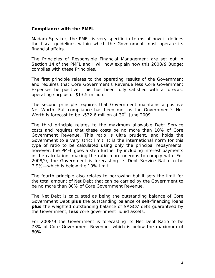#### **Compliance with the PMFL**

Madam Speaker, the PMFL is very specific in terms of how it defines the fiscal guidelines within which the Government must operate its financial affairs.

The Principles of Responsible Financial Management are set out in Section 14 of the PMFL and I will now explain how this 2008/9 Budget complies with these Principles.

The first principle relates to the operating results of the Government and requires that Core Government's Revenue less Core Government Expenses be positive. This has been fully satisfied with a forecast operating surplus of \$13.5 million.

The second principle requires that Government maintains a positive Net Worth. Full compliance has been met as the Government's Net Worth is forecast to be \$532.6 million at 30<sup>th</sup> June 2009.

The third principle relates to the maximum allowable Debt Service costs and requires that these costs be no more than 10% of Core Government Revenue. This ratio is ultra prudent, and holds the Government to a very strict limit. It is the international norm for this type of ratio to be calculated using only the principal repayments; however, the PMFL goes a step further by including interest payments in the calculation, making the ratio more onerous to comply with. For 2008/9, the Government is forecasting its Debt Service Ratio to be 7.9%—which is below the 10% limit.

The fourth principle also relates to borrowing but it sets the limit for the total amount of Net Debt that can be carried by the Government to be no more than 80% of Core Government Revenue.

The Net Debt is calculated as being the outstanding balance of Core Government Debt *plus* the outstanding balance of self-financing loans *plus* the weighted outstanding balance of SAGCs' debt guaranteed by the Government, *less* core government liquid assets.

For 2008/9 the Government is forecasting its Net Debt Ratio to be 73% of Core Government Revenue—which is below the maximum of 80%.